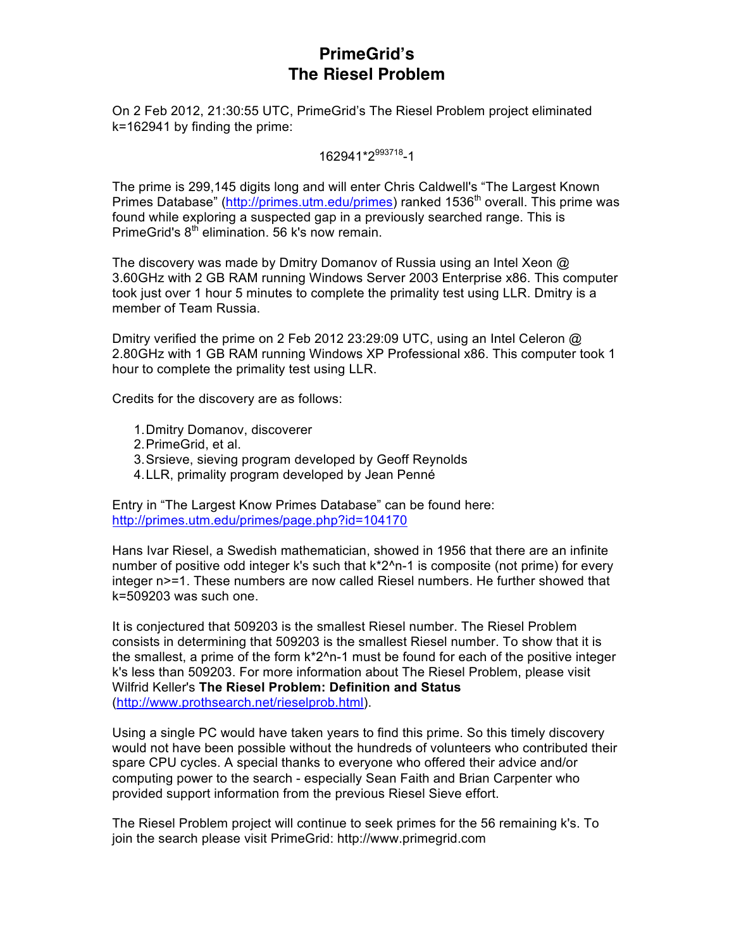## **PrimeGrid's The Riesel Problem**

On 2 Feb 2012, 21:30:55 UTC, PrimeGrid's The Riesel Problem project eliminated k=162941 by finding the prime:

162941\*2993718-1

The prime is 299,145 digits long and will enter Chris Caldwell's "The Largest Known Primes Database" (http://primes.utm.edu/primes) ranked 1536<sup>th</sup> overall. This prime was found while exploring a suspected gap in a previously searched range. This is PrimeGrid's  $8<sup>th</sup>$  elimination. 56 k's now remain.

The discovery was made by Dmitry Domanov of Russia using an Intel Xeon @ 3.60GHz with 2 GB RAM running Windows Server 2003 Enterprise x86. This computer took just over 1 hour 5 minutes to complete the primality test using LLR. Dmitry is a member of Team Russia.

Dmitry verified the prime on 2 Feb 2012 23:29:09 UTC, using an Intel Celeron @ 2.80GHz with 1 GB RAM running Windows XP Professional x86. This computer took 1 hour to complete the primality test using LLR.

Credits for the discovery are as follows:

- 1.Dmitry Domanov, discoverer
- 2.PrimeGrid, et al.
- 3.Srsieve, sieving program developed by Geoff Reynolds
- 4.LLR, primality program developed by Jean Penné

Entry in "The Largest Know Primes Database" can be found here: http://primes.utm.edu/primes/page.php?id=104170

Hans Ivar Riesel, a Swedish mathematician, showed in 1956 that there are an infinite number of positive odd integer k's such that  $k^2$ <sup>n-1</sup> is composite (not prime) for every integer n>=1. These numbers are now called Riesel numbers. He further showed that k=509203 was such one.

It is conjectured that 509203 is the smallest Riesel number. The Riesel Problem consists in determining that 509203 is the smallest Riesel number. To show that it is the smallest, a prime of the form  $k^2$ <sup>n-1</sup> must be found for each of the positive integer k's less than 509203. For more information about The Riesel Problem, please visit Wilfrid Keller's **The Riesel Problem: Definition and Status** (http://www.prothsearch.net/rieselprob.html).

Using a single PC would have taken years to find this prime. So this timely discovery would not have been possible without the hundreds of volunteers who contributed their spare CPU cycles. A special thanks to everyone who offered their advice and/or computing power to the search - especially Sean Faith and Brian Carpenter who provided support information from the previous Riesel Sieve effort.

The Riesel Problem project will continue to seek primes for the 56 remaining k's. To join the search please visit PrimeGrid: http://www.primegrid.com